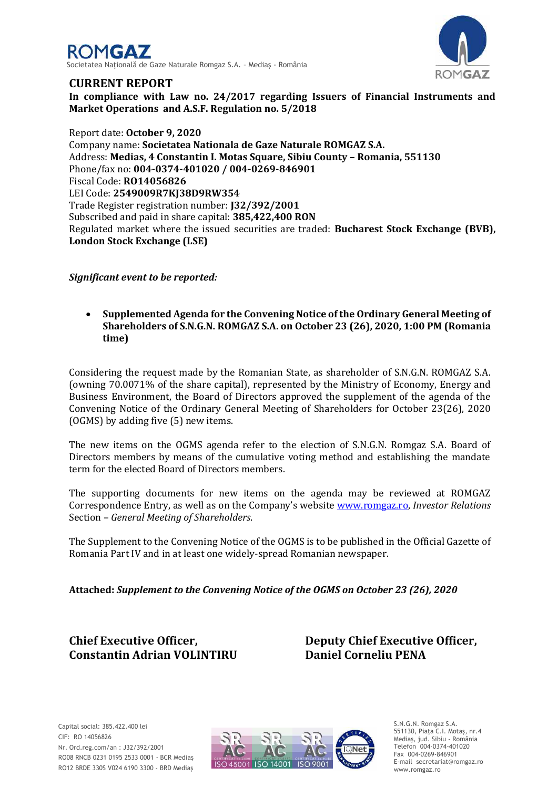



## **CURRENT REPORT**

**In compliance with Law no. 24/2017 regarding Issuers of Financial Instruments and Market Operations and A.S.F. Regulation no. 5/2018**

Report date: **October 9, 2020** Company name: **Societatea Nationala de Gaze Naturale ROMGAZ S.A.** Address: **Medias, 4 Constantin I. Motas Square, Sibiu County – Romania, 551130** Phone/fax no: **004-0374-401020 / 004-0269-846901** Fiscal Code: **RO14056826** LEI Code: **2549009R7KJ38D9RW354** Trade Register registration number: **J32/392/2001** Subscribed and paid in share capital: **385,422,400 RON** Regulated market where the issued securities are traded: **Bucharest Stock Exchange (BVB), London Stock Exchange (LSE)**

*Significant event to be reported:*

 **Supplemented Agenda for the Convening Notice of the Ordinary General Meeting of Shareholders of S.N.G.N. ROMGAZ S.A. on October 23 (26), 2020, 1:00 PM (Romania time)**

Considering the request made by the Romanian State, as shareholder of S.N.G.N. ROMGAZ S.A. (owning 70.0071% of the share capital), represented by the Ministry of Economy, Energy and Business Environment, the Board of Directors approved the supplement of the agenda of the Convening Notice of the Ordinary General Meeting of Shareholders for October 23(26), 2020 (OGMS) by adding five (5) new items.

The new items on the OGMS agenda refer to the election of S.N.G.N. Romgaz S.A. Board of Directors members by means of the cumulative voting method and establishing the mandate term for the elected Board of Directors members.

The supporting documents for new items on the agenda may be reviewed at ROMGAZ Correspondence Entry, as well as on the Company's website [www.romgaz.ro,](http://infoweb/sites/sediuweb/SedSrvActionariat/Documente%20Interne/Raport%20curent%20-%20Completare%20Convocator%20AGEA%2015.01.2020/www.romgaz.ro) *Investor Relations*  Section – *General Meeting of Shareholders*.

The Supplement to the Convening Notice of the OGMS is to be published in the Official Gazette of Romania Part IV and in at least one widely-spread Romanian newspaper.

**Attached:** *Supplement to the Convening Notice of the OGMS on October 23 (26), 2020*

**Constantin Adrian VOLINTIRU Daniel Corneliu PENA**

**Chief Executive Officer, Deputy Chief Executive Officer,**



S.N.G.N. Romgaz S.A. 551130, Piața C.I. Motaş, nr.4 Mediaş, jud. Sibiu - România Telefon 004-0374-401020 Fax 004-0269-846901 E-mail secretariat@romgaz.ro www.romgaz.ro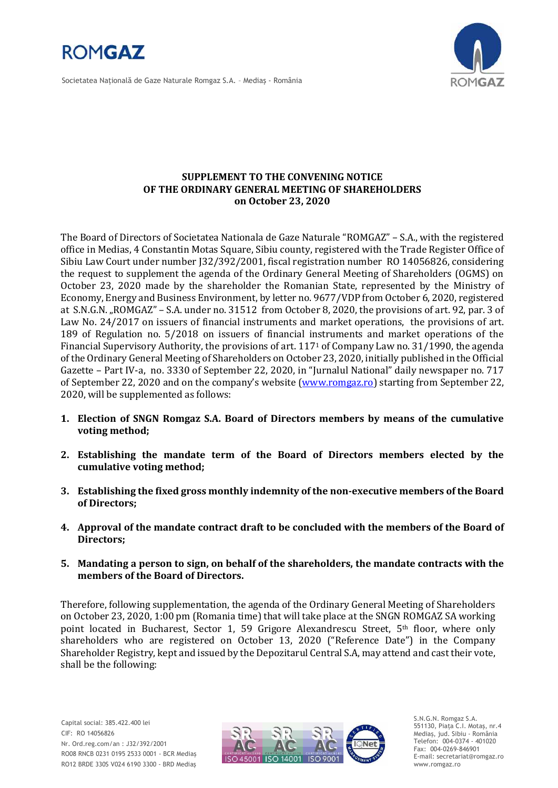

Societatea Naţională de Gaze Naturale Romgaz S.A. – Mediaş - România



## **SUPPLEMENT TO THE CONVENING NOTICE OF THE ORDINARY GENERAL MEETING OF SHAREHOLDERS on October 23, 2020**

The Board of Directors of Societatea Nationala de Gaze Naturale "ROMGAZ" – S.A., with the registered office in Medias, 4 Constantin Motas Square, Sibiu county, registered with the Trade Register Office of Sibiu Law Court under number J32/392/2001, fiscal registration number RO 14056826, considering the request to supplement the agenda of the Ordinary General Meeting of Shareholders (OGMS) on October 23, 2020 made by the shareholder the Romanian State, represented by the Ministry of Economy, Energy and Business Environment, by letter no. 9677/VDP from October 6, 2020, registered at S.N.G.N. "ROMGAZ" – S.A. under no. 31512 from October 8, 2020, the provisions of art. 92, par. 3 of Law No. 24/2017 on issuers of financial instruments and market operations, the provisions of art. 189 of Regulation no. 5/2018 on issuers of financial instruments and market operations of the Financial Supervisory Authority, the provisions of art. 117<sup>1</sup> of Company Law no. 31/1990, the agenda of the Ordinary General Meeting of Shareholders on October 23, 2020, initially published in the Official Gazette – Part IV-a, no. 3330 of September 22, 2020, in "Jurnalul National" daily newspaper no. 717 of September 22, 2020 and on the company's website ([www.romgaz.ro\)](http://www.romgaz.ro/) starting from September 22, 2020, will be supplemented as follows:

- **1. Election of SNGN Romgaz S.A. Board of Directors members by means of the cumulative voting method;**
- **2. Establishing the mandate term of the Board of Directors members elected by the cumulative voting method;**
- **3. Establishing the fixed gross monthly indemnity of the non-executive members of the Board of Directors;**
- **4. Approval of the mandate contract draft to be concluded with the members of the Board of Directors;**
- **5. Mandating a person to sign, on behalf of the shareholders, the mandate contracts with the members of the Board of Directors.**

Therefore, following supplementation, the agenda of the Ordinary General Meeting of Shareholders on October 23, 2020, 1:00 pm (Romania time) that will take place at the SNGN ROMGAZ SA working point located in Bucharest, Sector 1, 59 Grigore Alexandrescu Street, 5<sup>th</sup> floor, where only shareholders who are registered on October 13, 2020 ("Reference Date") in the Company Shareholder Registry, kept and issued by the Depozitarul Central S.A, may attend and cast their vote, shall be the following:



S.N.G.N. Romgaz S.A. 551130, Piața C.I. Motaş, nr.4 Mediaş, jud. Sibiu - România Telefon: 004-0374 - 401020 Fax: 004-0269-846901 E-mail: secretariat@romgaz.ro www.romgaz.ro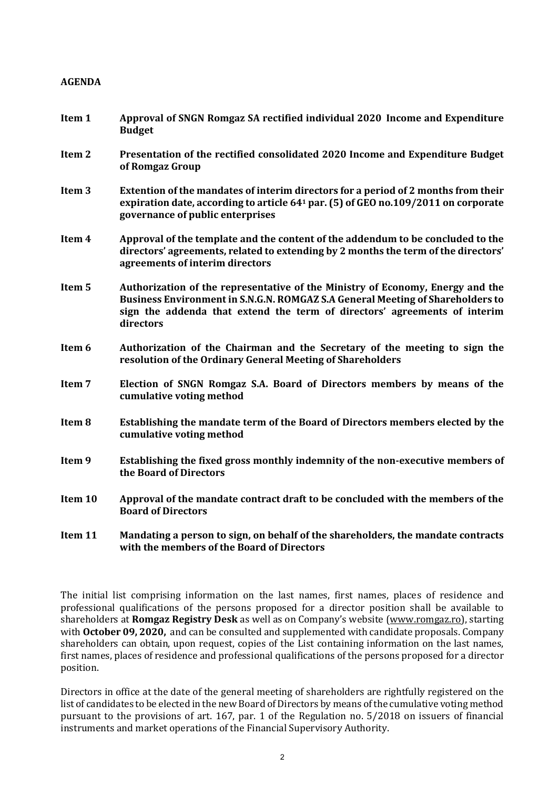## **AGENDA**

- **Item 1 Approval of SNGN Romgaz SA rectified individual 2020 Income and Expenditure Budget**
- **Item 2 Presentation of the rectified consolidated 2020 Income and Expenditure Budget of Romgaz Group**
- **Item 3 Extention of the mandates of interim directors for a period of 2 months from their expiration date, according to article 64<sup>1</sup> par. (5) of GEO no.109/2011 on corporate governance of public enterprises**
- **Item 4 Approval of the template and the content of the addendum to be concluded to the directors' agreements, related to extending by 2 months the term of the directors' agreements of interim directors**
- **Item 5 Authorization of the representative of the Ministry of Economy, Energy and the Business Environment in S.N.G.N. ROMGAZ S.A General Meeting of Shareholders to sign the addenda that extend the term of directors' agreements of interim directors**
- **Item 6 Authorization of the Chairman and the Secretary of the meeting to sign the resolution of the Ordinary General Meeting of Shareholders**
- **Item 7 Election of SNGN Romgaz S.A. Board of Directors members by means of the cumulative voting method**
- **Item 8 Establishing the mandate term of the Board of Directors members elected by the cumulative voting method**
- **Item 9 Establishing the fixed gross monthly indemnity of the non-executive members of the Board of Directors**
- **Item 10 Approval of the mandate contract draft to be concluded with the members of the Board of Directors**
- **Item 11 Mandating a person to sign, on behalf of the shareholders, the mandate contracts with the members of the Board of Directors**

The initial list comprising information on the last names, first names, places of residence and professional qualifications of the persons proposed for a director position shall be available to shareholders at **Romgaz Registry Desk** as well as on Company's website [\(www.romgaz.ro\)](http://www.romgaz.ro/), starting with **October 09, 2020,** and can be consulted and supplemented with candidate proposals. Company shareholders can obtain, upon request, copies of the List containing information on the last names, first names, places of residence and professional qualifications of the persons proposed for a director position.

Directors in office at the date of the general meeting of shareholders are rightfully registered on the list of candidates to be elected in the new Board of Directors by means of the cumulative voting method pursuant to the provisions of art. 167, par. 1 of the Regulation no. 5/2018 on issuers of financial instruments and market operations of the Financial Supervisory Authority.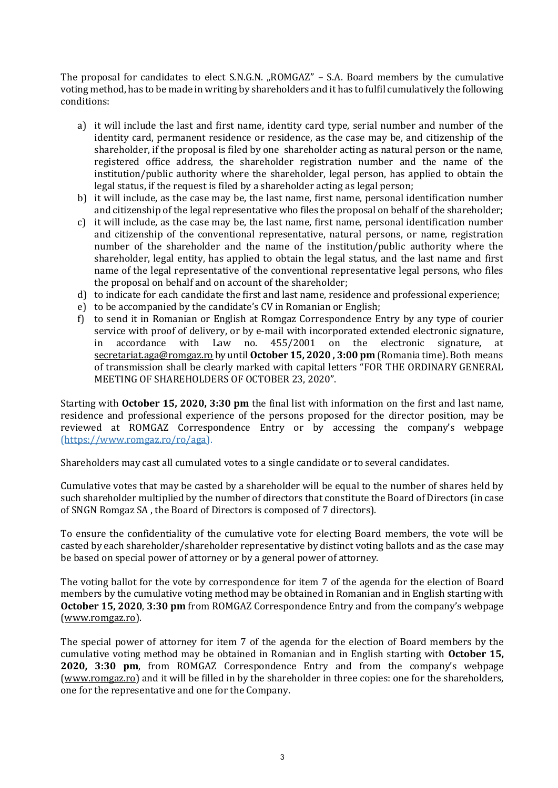The proposal for candidates to elect S.N.G.N. "ROMGAZ" - S.A. Board members by the cumulative voting method, has to be made in writing by shareholders and it has to fulfil cumulatively the following conditions:

- a) it will include the last and first name, identity card type, serial number and number of the identity card, permanent residence or residence, as the case may be, and citizenship of the shareholder, if the proposal is filed by one shareholder acting as natural person or the name, registered office address, the shareholder registration number and the name of the institution/public authority where the shareholder, legal person, has applied to obtain the legal status, if the request is filed by a shareholder acting as legal person;
- b) it will include, as the case may be, the last name, first name, personal identification number and citizenship of the legal representative who files the proposal on behalf of the shareholder;
- c) it will include, as the case may be, the last name, first name, personal identification number and citizenship of the conventional representative, natural persons, or name, registration number of the shareholder and the name of the institution/public authority where the shareholder, legal entity, has applied to obtain the legal status, and the last name and first name of the legal representative of the conventional representative legal persons, who files the proposal on behalf and on account of the shareholder;
- d) to indicate for each candidate the first and last name, residence and professional experience;
- e) to be accompanied by the candidate's CV in Romanian or English;
- f) to send it in Romanian or English at Romgaz Correspondence Entry by any type of courier service with proof of delivery, or by e-mail with incorporated extended electronic signature, in accordance with Law no. 455/2001 on the electronic signature, at [secretariat.aga@romgaz.ro](mailto:secretariat.aga%40romgaz.ro) by until **October 15, 2020 , 3:00 pm** (Romania time). Both means of transmission shall be clearly marked with capital letters "FOR THE ORDINARY GENERAL MEETING OF SHAREHOLDERS OF OCTOBER 23, 2020".

Starting with **October 15, 2020, 3:30 pm** the final list with information on the first and last name, residence and professional experience of the persons proposed for the director position, may be reviewed at ROMGAZ Correspondence Entry or by accessing the company's webpage [\(https://www.romgaz.ro/ro/aga\)](https://www.romgaz.ro/ro/aga).

Shareholders may cast all cumulated votes to a single candidate or to several candidates.

Cumulative votes that may be casted by a shareholder will be equal to the number of shares held by such shareholder multiplied by the number of directors that constitute the Board of Directors (in case of SNGN Romgaz SA , the Board of Directors is composed of 7 directors).

To ensure the confidentiality of the cumulative vote for electing Board members, the vote will be casted by each shareholder/shareholder representative by distinct voting ballots and as the case may be based on special power of attorney or by a general power of attorney.

The voting ballot for the vote by correspondence for item 7 of the agenda for the election of Board members by the cumulative voting method may be obtained in Romanian and in English starting with **October 15, 2020**, **3:30 pm** from ROMGAZ Correspondence Entry and from the company's webpage [\(www.romgaz.ro\)](http://www.romgaz.ro/).

The special power of attorney for item 7 of the agenda for the election of Board members by the cumulative voting method may be obtained in Romanian and in English starting with **October 15, 2020, 3:30 pm**, from ROMGAZ Correspondence Entry and from the company's webpage [\(www.romgaz.ro\)](http://www.romgaz.ro/) and it will be filled in by the shareholder in three copies: one for the shareholders, one for the representative and one for the Company.